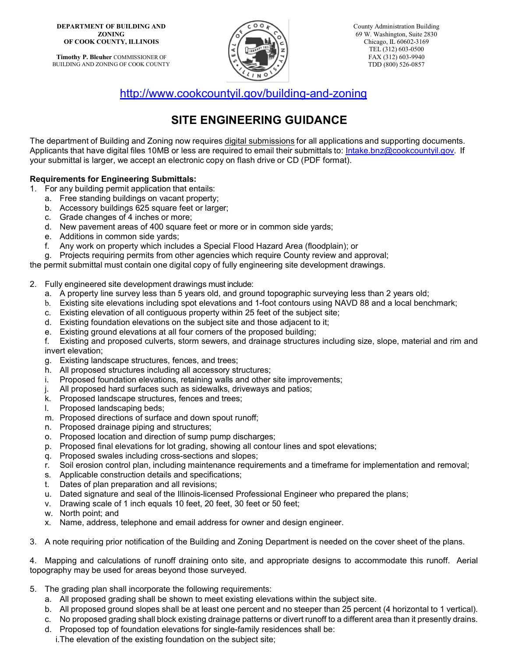**Timothy P. Bleuher** COMMISSIONER OF BUILDING AND ZONING OF COOK COUNTY



<http://www.cookcountyil.gov/building-and-zoning>

## **SITE ENGINEERING GUIDANCE**

The department of Building and Zoning now requires digital submissions for all applications and supporting documents. Applicants that have digital files 10MB or less are required to email their submittals to: [Intake.bnz@cookcountyil.gov.](mailto:Intake.bnz@cookcountyil.gov) If your submittal is larger, we accept an electronic copy on flash drive or CD (PDF format).

## **Requirements for Engineering Submittals:**

- 1. For any building permit application that entails:
	- a. Free standing buildings on vacant property;
	- b. Accessory buildings 625 square feet or larger;
	- c. Grade changes of 4 inches or more;
	- d. New pavement areas of 400 square feet or more or in common side yards;
	- e. Additions in common side yards;
	- f. Any work on property which includes a Special Flood Hazard Area (floodplain); or
- g. Projects requiring permits from other agencies which require County review and approval;

the permit submittal must contain one digital copy of fully engineering site development drawings.

- 2. Fully engineered site development drawings must include:
	- a. A property line survey less than 5 years old, and ground topographic surveying less than 2 years old;
	- b. Existing site elevations including spot elevations and 1-foot contours using NAVD 88 and a local benchmark;
	- c. Existing elevation of all contiguous property within 25 feet of the subject site;
	- d. Existing foundation elevations on the subject site and those adjacent to it;
	- e. Existing ground elevations at all four corners of the proposed building;
	- f. Existing and proposed culverts, storm sewers, and drainage structures including size, slope, material and rim and invert elevation;
	- g. Existing landscape structures, fences, and trees;
	- h. All proposed structures including all accessory structures;
	- i. Proposed foundation elevations, retaining walls and other site improvements;
	- j. All proposed hard surfaces such as sidewalks, driveways and patios;
	- k. Proposed landscape structures, fences and trees;
	- l. Proposed landscaping beds;
	- m. Proposed directions of surface and down spout runoff;
	- n. Proposed drainage piping and structures;
	- o. Proposed location and direction of sump pump discharges;
	- p. Proposed final elevations for lot grading, showing all contour lines and spot elevations;
	- q. Proposed swales including cross-sections and slopes;
	- r. Soil erosion control plan, including maintenance requirements and a timeframe for implementation and removal;
	- s. Applicable construction details and specifications;
	- t. Dates of plan preparation and all revisions;
	- u. Dated signature and seal of the Illinois-licensed Professional Engineer who prepared the plans;
	- v. Drawing scale of 1 inch equals 10 feet, 20 feet, 30 feet or 50 feet;
	- w. North point; and
	- x. Name, address, telephone and email address for owner and design engineer.
- 3. A note requiring prior notification of the Building and Zoning Department is needed on the cover sheet of the plans.

4. Mapping and calculations of runoff draining onto site, and appropriate designs to accommodate this runoff. Aerial topography may be used for areas beyond those surveyed.

- 5. The grading plan shall incorporate the following requirements:
	- a. All proposed grading shall be shown to meet existing elevations within the subject site.
	- b. All proposed ground slopes shall be at least one percent and no steeper than 25 percent (4 horizontal to 1 vertical).
	- c. No proposed grading shall block existing drainage patterns or divert runoff to a different area than it presently drains.
	- d. Proposed top of foundation elevations for single-family residences shall be:
		- i.The elevation of the existing foundation on the subject site;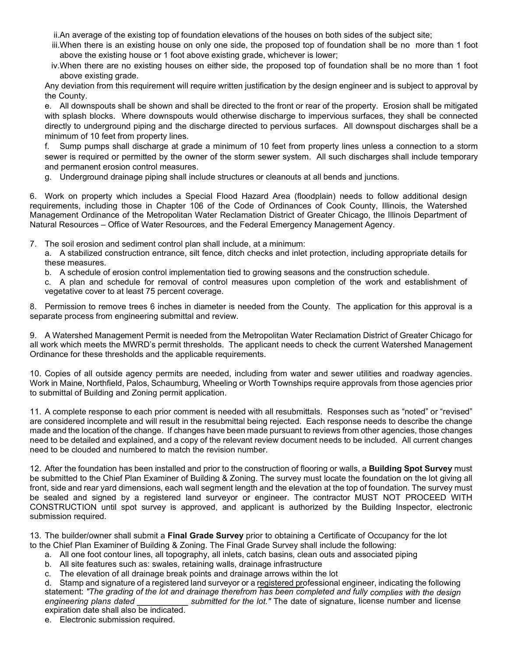ii.An average of the existing top of foundation elevations of the houses on both sides of the subject site;

- iii.When there is an existing house on only one side, the proposed top of foundation shall be no more than 1 foot above the existing house or 1 foot above existing grade, whichever is lower;
- iv.When there are no existing houses on either side, the proposed top of foundation shall be no more than 1 foot above existing grade.

Any deviation from this requirement will require written justification by the design engineer and is subject to approval by the County.

e. All downspouts shall be shown and shall be directed to the front or rear of the property. Erosion shall be mitigated with splash blocks. Where downspouts would otherwise discharge to impervious surfaces, they shall be connected directly to underground piping and the discharge directed to pervious surfaces. All downspout discharges shall be a minimum of 10 feet from property lines.

f. Sump pumps shall discharge at grade a minimum of 10 feet from property lines unless a connection to a storm sewer is required or permitted by the owner of the storm sewer system. All such discharges shall include temporary and permanent erosion control measures.

g. Underground drainage piping shall include structures or cleanouts at all bends and junctions.

6. Work on property which includes a Special Flood Hazard Area (floodplain) needs to follow additional design requirements, including those in Chapter 106 of the Code of Ordinances of Cook County, Illinois, the Watershed Management Ordinance of the Metropolitan Water Reclamation District of Greater Chicago, the Illinois Department of Natural Resources – Office of Water Resources, and the Federal Emergency Management Agency.

- 7. The soil erosion and sediment control plan shall include, at a minimum:
	- a. A stabilized construction entrance, silt fence, ditch checks and inlet protection, including appropriate details for these measures.
	- b. A schedule of erosion control implementation tied to growing seasons and the construction schedule.

c. A plan and schedule for removal of control measures upon completion of the work and establishment of vegetative cover to at least 75 percent coverage.

8. Permission to remove trees 6 inches in diameter is needed from the County. The application for this approval is a separate process from engineering submittal and review.

9. A Watershed Management Permit is needed from the Metropolitan Water Reclamation District of Greater Chicago for all work which meets the MWRD's permit thresholds. The applicant needs to check the current Watershed Management Ordinance for these thresholds and the applicable requirements.

10. Copies of all outside agency permits are needed, including from water and sewer utilities and roadway agencies. Work in Maine, Northfield, Palos, Schaumburg, Wheeling or Worth Townships require approvals from those agencies prior to submittal of Building and Zoning permit application.

11. A complete response to each prior comment is needed with all resubmittals. Responses such as "noted" or "revised" are considered incomplete and will result in the resubmittal being rejected. Each response needs to describe the change made and the location of the change. If changes have been made pursuant to reviews from other agencies, those changes need to be detailed and explained, and a copy of the relevant review document needs to be included. All current changes need to be clouded and numbered to match the revision number.

12. After the foundation has been installed and prior to the construction of flooring or walls, a **Building Spot Survey** must be submitted to the Chief Plan Examiner of Building & Zoning. The survey must locate the foundation on the lot giving all front, side and rear yard dimensions, each wall segment length and the elevation at the top of foundation. The survey must be sealed and signed by a registered land surveyor or engineer. The contractor MUST NOT PROCEED WITH CONSTRUCTION until spot survey is approved, and applicant is authorized by the Building Inspector, electronic submission required.

13. The builder/owner shall submit a **Final Grade Survey** prior to obtaining a Certificate of Occupancy for the lot to the Chief Plan Examiner of Building & Zoning. The Final Grade Survey shall include the following:

- a. All one foot contour lines, all topography, all inlets, catch basins, clean outs and associated piping
- b. All site features such as: swales, retaining walls, drainage infrastructure
- c. The elevation of all drainage break points and drainage arrows within the lot
- d. Stamp and signature of a registered land surveyor or a registered professional engineer, indicating the following statement: *"The grading of the lot and drainage therefrom has been completed and fully complies with the design*  submitted for the lot." The date of signature, license number and license expiration date shall also be indicated.
- e. Electronic submission required.